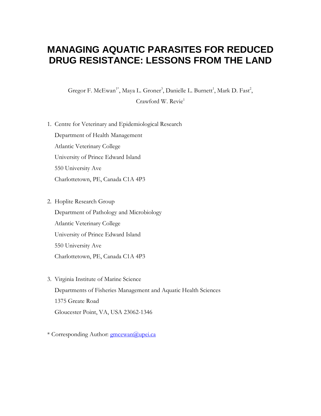### **MANAGING AQUATIC PARASITES FOR REDUCED DRUG RESISTANCE: LESSONS FROM THE LAND**

Gregor F. McEwan<sup>1\*</sup>, Maya L. Groner<sup>3</sup>, Danielle L. Burnett<sup>1</sup>, Mark D. Fast<sup>2</sup>,

Crawford W. Revie<sup>1</sup>

1. Centre for Veterinary and Epidemiological Research

Department of Health Management Atlantic Veterinary College University of Prince Edward Island 550 University Ave Charlottetown, PE, Canada C1A 4P3

- 2. Hoplite Research Group Department of Pathology and Microbiology Atlantic Veterinary College University of Prince Edward Island 550 University Ave Charlottetown, PE, Canada C1A 4P3
- 3. Virginia Institute of Marine Science Departments of Fisheries Management and Aquatic Health Sciences 1375 Greate Road Gloucester Point, VA, USA 23062-1346

\* Corresponding Author: [gmcewan@upei.ca](mailto:gmcewan@upei.ca)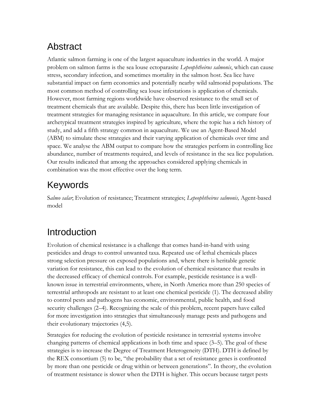# Abstract

Atlantic salmon farming is one of the largest aquaculture industries in the world. A major problem on salmon farms is the sea louse ectoparasite *Lepeophtheirus salmonis*, which can cause stress, secondary infection, and sometimes mortality in the salmon host. Sea lice have substantial impact on farm economics and potentially nearby wild salmonid populations. The most common method of controlling sea louse infestations is application of chemicals. However, most farming regions worldwide have observed resistance to the small set of treatment chemicals that are available. Despite this, there has been little investigation of treatment strategies for managing resistance in aquaculture. In this article, we compare four archetypical treatment strategies inspired by agriculture, where the topic has a rich history of study, and add a fifth strategy common in aquaculture. We use an Agent-Based Model (ABM) to simulate these strategies and their varying application of chemicals over time and space. We analyse the ABM output to compare how the strategies perform in controlling lice abundance, number of treatments required, and levels of resistance in the sea lice population. Our results indicated that among the approaches considered applying chemicals in combination was the most effective over the long term.

# Keywords

S*almo salar*; Evolution of resistance; Treatment strategies; *Lepeophtheirus salmonis,* Agent-based model

# **Introduction**

Evolution of chemical resistance is a challenge that comes hand-in-hand with using pesticides and drugs to control unwanted taxa. Repeated use of lethal chemicals places strong selection pressure on exposed populations and, where there is heritable genetic variation for resistance, this can lead to the evolution of chemical resistance that results in the decreased efficacy of chemical controls. For example, pesticide resistance is a wellknown issue in terrestrial environments, where, in North America more than 250 species of terrestrial arthropods are resistant to at least one chemical pesticide (1). The decreased ability to control pests and pathogens has economic, environmental, public health, and food security challenges (2–4). Recognizing the scale of this problem, recent papers have called for more investigation into strategies that simultaneously manage pests and pathogens and their evolutionary trajectories (4,5).

Strategies for reducing the evolution of pesticide resistance in terrestrial systems involve changing patterns of chemical applications in both time and space (3–5). The goal of these strategies is to increase the Degree of Treatment Heterogeneity (DTH). DTH is defined by the REX consortium (5) to be, "the probability that a set of resistance genes is confronted by more than one pesticide or drug within or between generations". In theory, the evolution of treatment resistance is slower when the DTH is higher. This occurs because target pests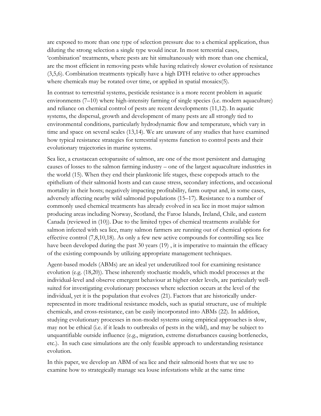are exposed to more than one type of selection pressure due to a chemical application, thus diluting the strong selection a single type would incur. In most terrestrial cases, 'combination' treatments, where pests are hit simultaneously with more than one chemical, are the most efficient in removing pests while having relatively slower evolution of resistance (3,5,6). Combination treatments typically have a high DTH relative to other approaches where chemicals may be rotated over time, or applied in spatial mosaics(5).

In contrast to terrestrial systems, pesticide resistance is a more recent problem in aquatic environments (7–10) where high-intensity farming of single species (i.e. modern aquaculture) and reliance on chemical control of pests are recent developments (11,12). In aquatic systems, the dispersal, growth and development of many pests are all strongly tied to environmental conditions, particularly hydrodynamic flow and temperature, which vary in time and space on several scales (13,14). We are unaware of any studies that have examined how typical resistance strategies for terrestrial systems function to control pests and their evolutionary trajectories in marine systems.

Sea lice, a crustacean ectoparasite of salmon, are one of the most persistent and damaging causes of losses to the salmon farming industry – one of the largest aquaculture industries in the world (15). When they end their planktonic life stages, these copepods attach to the epithelium of their salmonid hosts and can cause stress, secondary infections, and occasional mortality in their hosts; negatively impacting profitability, farm output and, in some cases, adversely affecting nearby wild salmonid populations (15–17). Resistance to a number of commonly used chemical treatments has already evolved in sea lice in most major salmon producing areas including Norway, Scotland, the Faroe Islands, Ireland, Chile, and eastern Canada (reviewed in (10)). Due to the limited types of chemical treatments available for salmon infected with sea lice, many salmon farmers are running out of chemical options for effective control (7,8,10,18). As only a few new active compounds for controlling sea lice have been developed during the past 30 years (19), it is imperative to maintain the efficacy of the existing compounds by utilizing appropriate management techniques.

Agent-based models (ABMs) are an ideal yet underutilized tool for examining resistance evolution (e.g. (18,20)). These inherently stochastic models, which model processes at the individual-level and observe emergent behaviour at higher order levels, are particularly wellsuited for investigating evolutionary processes where selection occurs at the level of the individual, yet it is the population that evolves (21). Factors that are historically underrepresented in more traditional resistance models, such as spatial structure, use of multiple chemicals, and cross-resistance, can be easily incorporated into ABMs (22). In addition, studying evolutionary processes in non-model systems using empirical approaches is slow, may not be ethical (i.e. if it leads to outbreaks of pests in the wild), and may be subject to unquantifiable outside influence (e.g., migration, extreme disturbances causing bottlenecks, etc.). In such case simulations are the only feasible approach to understanding resistance evolution.

In this paper, we develop an ABM of sea lice and their salmonid hosts that we use to examine how to strategically manage sea louse infestations while at the same time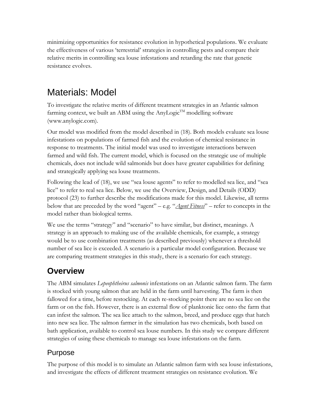minimizing opportunities for resistance evolution in hypothetical populations. We evaluate the effectiveness of various 'terrestrial' strategies in controlling pests and compare their relative merits in controlling sea louse infestations and retarding the rate that genetic resistance evolves.

## Materials: Model

To investigate the relative merits of different treatment strategies in an Atlantic salmon farming context, we built an ABM using the AnyLogic $^{TM}$  modelling software (www.anylogic.com).

Our model was modified from the model described in (18). Both models evaluate sea louse infestations on populations of farmed fish and the evolution of chemical resistance in response to treatments. The initial model was used to investigate interactions between farmed and wild fish. The current model, which is focused on the strategic use of multiple chemicals, does not include wild salmonids but does have greater capabilities for defining and strategically applying sea louse treatments.

Following the lead of (18), we use "sea louse agents" to refer to modelled sea lice, and "sea lice" to refer to real sea lice. Below, we use the Overview, Design, and Details (ODD) protocol (23) to further describe the modifications made for this model. Likewise, all terms below that are preceded by the word "agent" – e.g. "*Agent Fitness*" – refer to concepts in the model rather than biological terms.

We use the terms "strategy" and "scenario" to have similar, but distinct, meanings. A strategy is an approach to making use of the available chemicals, for example, a strategy would be to use combination treatments (as described previously) whenever a threshold number of sea lice is exceeded. A scenario is a particular model configuration. Because we are comparing treatment strategies in this study, there is a scenario for each strategy.

### **Overview**

The ABM simulates *Lepeophtheirus salmonis* infestations on an Atlantic salmon farm. The farm is stocked with young salmon that are held in the farm until harvesting. The farm is then fallowed for a time, before restocking. At each re-stocking point there are no sea lice on the farm or on the fish. However, there is an external flow of planktonic lice onto the farm that can infest the salmon. The sea lice attach to the salmon, breed, and produce eggs that hatch into new sea lice. The salmon farmer in the simulation has two chemicals, both based on bath application, available to control sea louse numbers. In this study we compare different strategies of using these chemicals to manage sea louse infestations on the farm.

### Purpose

The purpose of this model is to simulate an Atlantic salmon farm with sea louse infestations, and investigate the effects of different treatment strategies on resistance evolution. We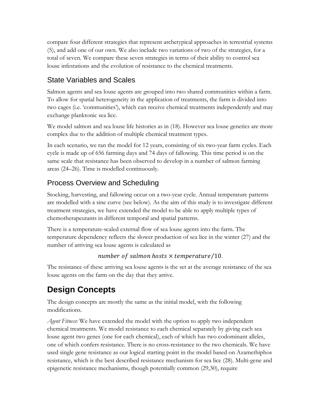compare four different strategies that represent archetypical approaches in terrestrial systems (5), and add one of our own. We also include two variations of two of the strategies, for a total of seven. We compare these seven strategies in terms of their ability to control sea louse infestations and the evolution of resistance to the chemical treatments.

#### State Variables and Scales

Salmon agents and sea louse agents are grouped into two shared communities within a farm. To allow for spatial heterogeneity in the application of treatments, the farm is divided into two cages (i.e. 'communities'), which can receive chemical treatments independently and may exchange planktonic sea lice.

We model salmon and sea louse life histories as in (18). However sea louse genetics are more complex due to the addition of multiple chemical treatment types.

In each scenario, we ran the model for 12 years, consisting of six two-year farm cycles. Each cycle is made up of 656 farming days and 74 days of fallowing. This time period is on the same scale that resistance has been observed to develop in a number of salmon farming areas (24–26). Time is modelled continuously.

#### Process Overview and Scheduling

Stocking, harvesting, and fallowing occur on a two-year cycle. Annual temperature patterns are modelled with a sine curve (see below). As the aim of this study is to investigate different treatment strategies, we have extended the model to be able to apply multiple types of chemotherapeutants in different temporal and spatial patterns.

There is a temperature-scaled external flow of sea louse agents into the farm. The temperature dependency reflects the slower production of sea lice in the winter (27) and the number of arriving sea louse agents is calculated as

#### number of salmon hosts  $\times$  temperature/10.

The resistance of these arriving sea louse agents is the set at the average resistance of the sea louse agents on the farm on the day that they arrive.

## **Design Concepts**

The design concepts are mostly the same as the initial model, with the following modifications.

*Agent Fitness*: We have extended the model with the option to apply two independent chemical treatments. We model resistance to each chemical separately by giving each sea louse agent two genes (one for each chemical), each of which has two codominant alleles, one of which confers resistance. There is no cross-resistance to the two chemicals. We have used single gene resistance as our logical starting point in the model based on Azamethiphos resistance, which is the best described resistance mechanism for sea lice (28). Multi-gene and epigenetic resistance mechanisms, though potentially common (29,30), require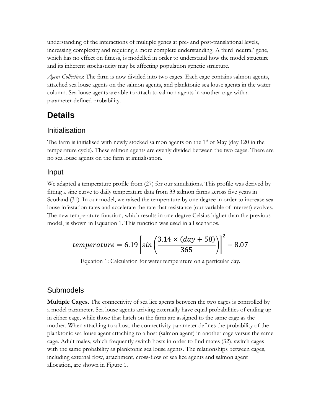understanding of the interactions of multiple genes at pre- and post-translational levels, increasing complexity and requiring a more complete understanding. A third 'neutral' gene, which has no effect on fitness, is modelled in order to understand how the model structure and its inherent stochasticity may be affecting population genetic structure.

*Agent Collectives*: The farm is now divided into two cages. Each cage contains salmon agents, attached sea louse agents on the salmon agents, and planktonic sea louse agents in the water column. Sea louse agents are able to attach to salmon agents in another cage with a parameter-defined probability.

### **Details**

#### Initialisation

The farm is initialised with newly stocked salmon agents on the  $1<sup>st</sup>$  of May (day 120 in the temperature cycle). These salmon agents are evenly divided between the two cages. There are no sea louse agents on the farm at initialisation.

#### Input

We adapted a temperature profile from (27) for our simulations. This profile was derived by fitting a sine curve to daily temperature data from 33 salmon farms across five years in Scotland (31). In our model, we raised the temperature by one degree in order to increase sea louse infestation rates and accelerate the rate that resistance (our variable of interest) evolves. The new temperature function, which results in one degree Celsius higher than the previous model, is shown in [Equation 1.](#page-5-0) This function was used in all scenarios.

$$
temperature = 6.19 \left[ sin \left( \frac{3.14 \times (day + 58)}{365} \right) \right]^2 + 8.07
$$

Equation 1: Calculation for water temperature on a particular day.

#### <span id="page-5-0"></span>Submodels

**Multiple Cages.** The connectivity of sea lice agents between the two cages is controlled by a model parameter. Sea louse agents arriving externally have equal probabilities of ending up in either cage, while those that hatch on the farm are assigned to the same cage as the mother. When attaching to a host, the connectivity parameter defines the probability of the planktonic sea louse agent attaching to a host (salmon agent) in another cage versus the same cage. Adult males, which frequently switch hosts in order to find mates (32), switch cages with the same probability as planktonic sea louse agents. The relationships between cages, including external flow, attachment, cross-flow of sea lice agents and salmon agent allocation, are shown in Figure 1.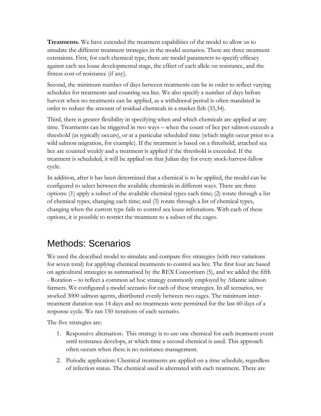**Treatments.** We have extended the treatment capabilities of the model to allow us to simulate the different treatment strategies in the model scenarios. There are three treatment extensions. First, for each chemical type, there are model parameters to specify efficacy against each sea louse developmental stage, the effect of each allele on resistance, and the fitness cost of resistance (if any).

Second, the minimum number of days between treatments can be in order to reflect varying schedules for treatments and counting sea lice. We also specify a number of days before harvest when no treatments can be applied, as a withdrawal period is often mandated in order to reduce the amount of residual chemicals in a market fish (33,34).

Third, there is greater flexibility in specifying when and which chemicals are applied at any time. Treatments can be triggered in two ways – when the count of lice per salmon exceeds a threshold (as typically occurs), or at a particular scheduled time (which might occur prior to a wild salmon migration, for example). If the treatment is based on a threshold, attached sea lice are counted weekly and a treatment is applied if the threshold is exceeded. If the treatment is scheduled, it will be applied on that Julian day for every stock-harvest-fallow cycle.

In addition, after it has been determined that a chemical is to be applied, the model can be configured to select between the available chemicals in different ways. There are three options: (1) apply a subset of the available chemical types each time; (2) rotate through a list of chemical types, changing each time; and (3) rotate through a list of chemical types, changing when the current type fails to control sea louse infestations. With each of these options, it is possible to restrict the treatment to a subset of the cages.

### Methods: Scenarios

We used the described model to simulate and compare five strategies (with two variations for seven total) for applying chemical treatments to control sea lice. The first four are based on agricultural strategies as summarised by the REX Consortium (5), and we added the fifth - Rotation – to reflect a common ad hoc strategy commonly employed by Atlantic salmon farmers. We configured a model scenario for each of these strategies. In all scenarios, we stocked 3000 salmon agents, distributed evenly between two cages. The minimum intertreatment duration was 14 days and no treatments were permitted for the last 60 days of a response cycle. We ran 150 iterations of each scenario.

The five strategies are:

- 1. Responsive alternation: This strategy is to use one chemical for each treatment event until resistance develops, at which time a second chemical is used. This approach often occurs when there is no resistance management.
- 2. Periodic application: Chemical treatments are applied on a time schedule, regardless of infection status. The chemical used is alternated with each treatment. There are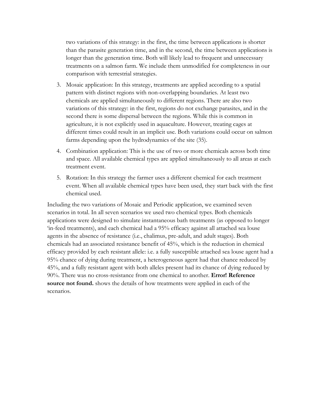two variations of this strategy: in the first, the time between applications is shorter than the parasite generation time, and in the second, the time between applications is longer than the generation time. Both will likely lead to frequent and unnecessary treatments on a salmon farm. We include them unmodified for completeness in our comparison with terrestrial strategies.

- 3. Mosaic application: In this strategy, treatments are applied according to a spatial pattern with distinct regions with non-overlapping boundaries. At least two chemicals are applied simultaneously to different regions. There are also two variations of this strategy: in the first, regions do not exchange parasites, and in the second there is some dispersal between the regions. While this is common in agriculture, it is not explicitly used in aquaculture. However, treating cages at different times could result in an implicit use. Both variations could occur on salmon farms depending upon the hydrodynamics of the site (35).
- 4. Combination application: This is the use of two or more chemicals across both time and space. All available chemical types are applied simultaneously to all areas at each treatment event.
- 5. Rotation: In this strategy the farmer uses a different chemical for each treatment event. When all available chemical types have been used, they start back with the first chemical used.

Including the two variations of Mosaic and Periodic application, we examined seven scenarios in total. In all seven scenarios we used two chemical types. Both chemicals applications were designed to simulate instantaneous bath treatments (as opposed to longer 'in-feed treatments), and each chemical had a 95% efficacy against all attached sea louse agents in the absence of resistance (i.e., chalimus, pre-adult, and adult stages). Both chemicals had an associated resistance benefit of 45%, which is the reduction in chemical efficacy provided by each resistant allele: i.e. a fully susceptible attached sea louse agent had a 95% chance of dying during treatment, a heterogeneous agent had that chance reduced by 45%, and a fully resistant agent with both alleles present had its chance of dying reduced by 90%. There was no cross-resistance from one chemical to another. **Error! Reference source not found.** shows the details of how treatments were applied in each of the scenarios.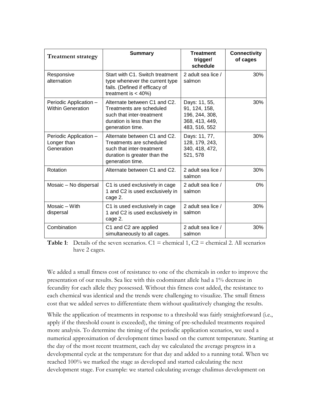| <b>Treatment strategy</b>                           | <b>Summary</b>                                                                                                                            | <b>Treatment</b><br>trigger/<br>schedule                                            | <b>Connectivity</b><br>of cages |
|-----------------------------------------------------|-------------------------------------------------------------------------------------------------------------------------------------------|-------------------------------------------------------------------------------------|---------------------------------|
| Responsive<br>alternation                           | Start with C1. Switch treatment<br>type whenever the current type<br>fails. (Defined if efficacy of<br>treatment is $<$ 40%)              | 2 adult sea lice /<br>salmon                                                        | 30%                             |
| Periodic Application -<br><b>Within Generation</b>  | Alternate between C1 and C2.<br>Treatments are scheduled<br>such that inter-treatment<br>duration is less than the<br>generation time.    | Days: 11, 55,<br>91, 124, 158,<br>196, 244, 308,<br>368, 413, 449,<br>483, 516, 552 | 30%                             |
| Periodic Application -<br>Longer than<br>Generation | Alternate between C1 and C2.<br>Treatments are scheduled<br>such that inter-treatment<br>duration is greater than the<br>generation time. | Days: 11, 77,<br>128, 179, 243,<br>340, 418, 472,<br>521, 578                       | 30%                             |
| Rotation                                            | Alternate between C1 and C2.                                                                                                              | 2 adult sea lice /<br>salmon                                                        | 30%                             |
| Mosaic - No dispersal                               | C1 is used exclusively in cage<br>1 and C2 is used exclusively in<br>cage 2.                                                              | 2 adult sea lice /<br>salmon                                                        | $0\%$                           |
| Mosaic - With<br>dispersal                          | C1 is used exclusively in cage<br>1 and C2 is used exclusively in<br>cage 2.                                                              | 2 adult sea lice /<br>salmon                                                        | 30%                             |
| Combination                                         | C1 and C2 are applied<br>simultaneously to all cages.                                                                                     | 2 adult sea lice /<br>salmon                                                        | 30%                             |

**Table 1:** Details of the seven scenarios.  $C1 =$  chemical 1,  $C2 =$  chemical 2. All scenarios have 2 cages.

We added a small fitness cost of resistance to one of the chemicals in order to improve the presentation of our results. Sea lice with this codominant allele had a 1% decrease in fecundity for each allele they possessed. Without this fitness cost added, the resistance to each chemical was identical and the trends were challenging to visualize. The small fitness cost that we added serves to differentiate them without qualitatively changing the results.

While the application of treatments in response to a threshold was fairly straightforward (i.e., apply if the threshold count is exceeded), the timing of pre-scheduled treatments required more analysis. To determine the timing of the periodic application scenarios, we used a numerical approximation of development times based on the current temperature. Starting at the day of the most recent treatment, each day we calculated the average progress in a developmental cycle at the temperature for that day and added to a running total. When we reached 100% we marked the stage as developed and started calculating the next development stage. For example: we started calculating average chalimus development on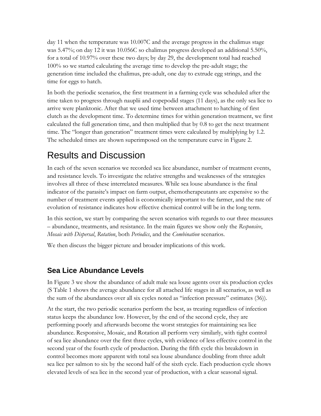day 11 when the temperature was 10.007C and the average progress in the chalimus stage was 5.47%; on day 12 it was 10.056C so chalimus progress developed an additional 5.50%, for a total of 10.97% over these two days; by day 29, the development total had reached 100% so we started calculating the average time to develop the pre-adult stage; the generation time included the chalimus, pre-adult, one day to extrude egg strings, and the time for eggs to hatch.

In both the periodic scenarios, the first treatment in a farming cycle was scheduled after the time taken to progress through nauplii and copepodid stages (11 days), as the only sea lice to arrive were planktonic. After that we used time between attachment to hatching of first clutch as the development time. To determine times for within generation treatment, we first calculated the full generation time, and then multiplied that by 0.8 to get the next treatment time. The "longer than generation" treatment times were calculated by multiplying by 1.2. The scheduled times are shown superimposed on the temperature curve in Figure 2.

### Results and Discussion

In each of the seven scenarios we recorded sea lice abundance, number of treatment events, and resistance levels. To investigate the relative strengths and weaknesses of the strategies involves all three of these interrelated measures. While sea louse abundance is the final indicator of the parasite's impact on farm output, chemotherapeutants are expensive so the number of treatment events applied is economically important to the farmer, and the rate of evolution of resistance indicates how effective chemical control will be in the long term.

In this section, we start by comparing the seven scenarios with regards to our three measures – abundance, treatments, and resistance. In the main figures we show only the *Responsive*, *Mosaic with Dispersal*, *Rotation*, both *Periodics*, and the *Combination* scenarios.

We then discuss the bigger picture and broader implications of this work.

#### **Sea Lice Abundance Levels**

In Figure 3 we show the abundance of adult male sea louse agents over six production cycles [\(S Table 1](#page-18-0) shows the average abundance for all attached life stages in all scenarios, as well as the sum of the abundances over all six cycles noted as "infection pressure" estimates (36)).

At the start, the two periodic scenarios perform the best, as treating regardless of infection status keeps the abundance low. However, by the end of the second cycle, they are performing poorly and afterwards become the worst strategies for maintaining sea lice abundance. Responsive, Mosaic, and Rotation all perform very similarly, with tight control of sea lice abundance over the first three cycles, with evidence of less effective control in the second year of the fourth cycle of production. During the fifth cycle this breakdown in control becomes more apparent with total sea louse abundance doubling from three adult sea lice per salmon to six by the second half of the sixth cycle. Each production cycle shows elevated levels of sea lice in the second year of production, with a clear seasonal signal.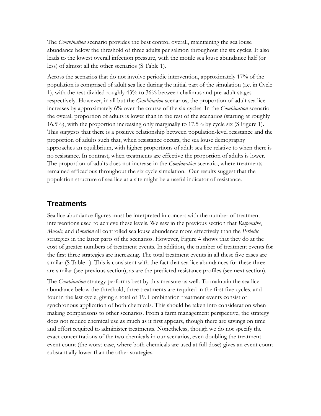The *Combination* scenario provides the best control overall, maintaining the sea louse abundance below the threshold of three adults per salmon throughout the six cycles. It also leads to the lowest overall infection pressure, with the motile sea louse abundance half (or less) of almost all the other scenarios [\(S Table 1\)](#page-18-0).

Across the scenarios that do not involve periodic intervention, approximately 17% of the population is comprised of adult sea lice during the initial part of the simulation (i.e. in Cycle 1), with the rest divided roughly 43% to 36% between chalimus and pre-adult stages respectively. However, in all but the *Combination* scenarios, the proportion of adult sea lice increases by approximately 6% over the course of the six cycles. In the *Combination* scenario the overall proportion of adults is lower than in the rest of the scenarios (starting at roughly 16.5%), with the proportion increasing only marginally to 17.5% by cycle six (S [Figure](#page-18-1) 1). This suggests that there is a positive relationship between population-level resistance and the proportion of adults such that, when resistance occurs, the sea louse demography approaches an equilibrium, with higher proportions of adult sea lice relative to when there is no resistance. In contrast, when treatments are effective the proportion of adults is lower. The proportion of adults does not increase in the *Combination* scenario, where treatments remained efficacious throughout the six cycle simulation. Our results suggest that the population structure of sea lice at a site might be a useful indicator of resistance.

#### **Treatments**

Sea lice abundance figures must be interpreted in concert with the number of treatment interventions used to achieve these levels. We saw in the previous section that *Responsive*, *Mosaic*, and *Rotation* all controlled sea louse abundance more effectively than the *Periodic* strategies in the latter parts of the scenarios. However, Figure 4 shows that they do at the cost of greater numbers of treatment events. In addition, the number of treatment events for the first three strategies are increasing. The total treatment events in all these five cases are similar [\(S Table 1\)](#page-18-0). This is consistent with the fact that sea lice abundances for these three are similar (see previous section), as are the predicted resistance profiles (see next section).

The *Combination* strategy performs best by this measure as well. To maintain the sea lice abundance below the threshold, three treatments are required in the first five cycles, and four in the last cycle, giving a total of 19. Combination treatment events consist of synchronous application of both chemicals. This should be taken into consideration when making comparisons to other scenarios. From a farm management perspective, the strategy does not reduce chemical use as much as it first appears, though there are savings on time and effort required to administer treatments. Nonetheless, though we do not specify the exact concentrations of the two chemicals in our scenarios, even doubling the treatment event count (the worst case, where both chemicals are used at full dose) gives an event count substantially lower than the other strategies.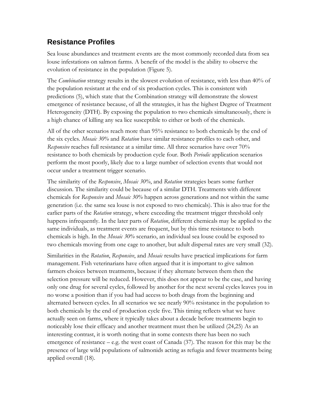#### **Resistance Profiles**

Sea louse abundances and treatment events are the most commonly recorded data from sea louse infestations on salmon farms. A benefit of the model is the ability to observe the evolution of resistance in the population (Figure 5).

The *Combination* strategy results in the slowest evolution of resistance, with less than 40% of the population resistant at the end of six production cycles. This is consistent with predictions (5), which state that the Combination strategy will demonstrate the slowest emergence of resistance because, of all the strategies, it has the highest Degree of Treatment Heterogeneity (DTH). By exposing the population to two chemicals simultaneously, there is a high chance of killing any sea lice susceptible to either or both of the chemicals.

All of the other scenarios reach more than 95% resistance to both chemicals by the end of the six cycles. *Mosaic 30%* and *Rotation* have similar resistance profiles to each other, and *Responsive* reaches full resistance at a similar time. All three scenarios have over 70% resistance to both chemicals by production cycle four. Both *Periodic* application scenarios perform the most poorly, likely due to a large number of selection events that would not occur under a treatment trigger scenario.

The similarity of the *Responsive*, *Mosaic 30%*, and *Rotation* strategies bears some further discussion. The similarity could be because of a similar DTH. Treatments with different chemicals for *Responsive* and *Mosaic 30%* happen across generations and not within the same generation (i.e. the same sea louse is not exposed to two chemicals). This is also true for the earlier parts of the *Rotation* strategy, where exceeding the treatment trigger threshold only happens infrequently. In the later parts of *Rotation*, different chemicals may be applied to the same individuals, as treatment events are frequent, but by this time resistance to both chemicals is high. In the *Mosaic 30%* scenario, an individual sea louse could be exposed to two chemicals moving from one cage to another, but adult dispersal rates are very small (32).

Similarities in the *Rotation*, *Responsive*, and *Mosaic* results have practical implications for farm management. Fish veterinarians have often argued that it is important to give salmon farmers choices between treatments, because if they alternate between them then the selection pressure will be reduced. However, this does not appear to be the case, and having only one drug for several cycles, followed by another for the next several cycles leaves you in no worse a position than if you had had access to both drugs from the beginning and alternated between cycles. In all scenarios we see nearly 90% resistance in the population to both chemicals by the end of production cycle five. This timing reflects what we have actually seen on farms, where it typically takes about a decade before treatments begin to noticeably lose their efficacy and another treatment must then be utilized (24,25) As an interesting contrast, it is worth noting that in some contexts there has been no such emergence of resistance – e.g. the west coast of Canada  $(37)$ . The reason for this may be the presence of large wild populations of salmonids acting as refugia and fewer treatments being applied overall (18).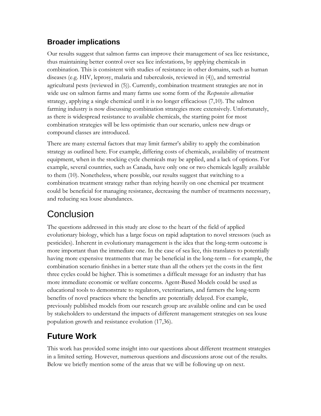#### **Broader implications**

Our results suggest that salmon farms can improve their management of sea lice resistance, thus maintaining better control over sea lice infestations, by applying chemicals in combination. This is consistent with studies of resistance in other domains, such as human diseases (e.g. HIV, leprosy, malaria and tuberculosis, reviewed in (4)), and terrestrial agricultural pests (reviewed in (5)). Currently, combination treatment strategies are not in wide use on salmon farms and many farms use some form of the *Responsive alternation* strategy, applying a single chemical until it is no longer efficacious (7,10). The salmon farming industry is now discussing combination strategies more extensively. Unfortunately, as there is widespread resistance to available chemicals, the starting point for most combination strategies will be less optimistic than our scenario, unless new drugs or compound classes are introduced.

There are many external factors that may limit farmer's ability to apply the combination strategy as outlined here. For example, differing costs of chemicals, availability of treatment equipment, when in the stocking cycle chemicals may be applied, and a lack of options. For example, several countries, such as Canada, have only one or two chemicals legally available to them (10). Nonetheless, where possible, our results suggest that switching to a combination treatment strategy rather than relying heavily on one chemical per treatment could be beneficial for managing resistance, decreasing the number of treatments necessary, and reducing sea louse abundances.

## Conclusion

The questions addressed in this study are close to the heart of the field of applied evolutionary biology, which has a large focus on rapid adaptation to novel stressors (such as pesticides). Inherent in evolutionary management is the idea that the long-term outcome is more important than the immediate one. In the case of sea lice, this translates to potentially having more expensive treatments that may be beneficial in the long-term – for example, the combination scenario finishes in a better state than all the others yet the costs in the first three cycles could be higher. This is sometimes a difficult message for an industry that has more immediate economic or welfare concerns. Agent-Based Models could be used as educational tools to demonstrate to regulators, veterinarians, and farmers the long-term benefits of novel practices where the benefits are potentially delayed. For example, previously published models from our research group are available online and can be used by stakeholders to understand the impacts of different management strategies on sea louse population growth and resistance evolution (17,36).

### **Future Work**

This work has provided some insight into our questions about different treatment strategies in a limited setting. However, numerous questions and discussions arose out of the results. Below we briefly mention some of the areas that we will be following up on next.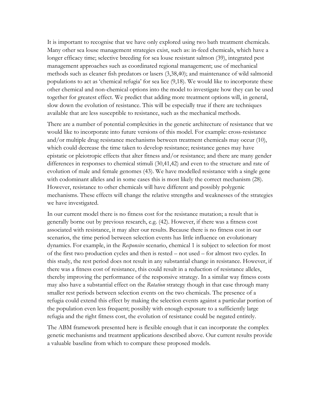It is important to recognise that we have only explored using two bath treatment chemicals. Many other sea louse management strategies exist, such as: in-feed chemicals, which have a longer efficacy time; selective breeding for sea louse resistant salmon (39), integrated pest management approaches such as coordinated regional management; use of mechanical methods such as cleaner fish predators or lasers (3,38,40); and maintenance of wild salmonid populations to act as 'chemical refugia' for sea lice (9,18). We would like to incorporate these other chemical and non-chemical options into the model to investigate how they can be used together for greatest effect. We predict that adding more treatment options will, in general, slow down the evolution of resistance. This will be especially true if there are techniques available that are less susceptible to resistance, such as the mechanical methods.

There are a number of potential complexities in the genetic architecture of resistance that we would like to incorporate into future versions of this model. For example: cross-resistance and/or multiple drug resistance mechanisms between treatment chemicals may occur (10), which could decrease the time taken to develop resistance; resistance genes may have epistatic or pleiotropic effects that alter fitness and/or resistance; and there are many gender differences in responses to chemical stimuli (30,41,42) and even to the structure and rate of evolution of male and female genomes (43). We have modelled resistance with a single gene with codominant alleles and in some cases this is most likely the correct mechanism (28). However, resistance to other chemicals will have different and possibly polygenic mechanisms. These effects will change the relative strengths and weaknesses of the strategies we have investigated.

In our current model there is no fitness cost for the resistance mutation; a result that is generally borne out by previous research, e.g. (42). However, if there was a fitness cost associated with resistance, it may alter our results. Because there is no fitness cost in our scenarios, the time period between selection events has little influence on evolutionary dynamics. For example, in the *Responsive* scenario, chemical 1 is subject to selection for most of the first two production cycles and then is rested – not used – for almost two cycles. In this study, the rest period does not result in any substantial change in resistance. However, if there was a fitness cost of resistance, this could result in a reduction of resistance alleles, thereby improving the performance of the responsive strategy. In a similar way fitness costs may also have a substantial effect on the *Rotation* strategy though in that case through many smaller rest periods between selection events on the two chemicals. The presence of a refugia could extend this effect by making the selection events against a particular portion of the population even less frequent; possibly with enough exposure to a sufficiently large refugia and the right fitness cost, the evolution of resistance could be negated entirely.

The ABM framework presented here is flexible enough that it can incorporate the complex genetic mechanisms and treatment applications described above. Our current results provide a valuable baseline from which to compare these proposed models.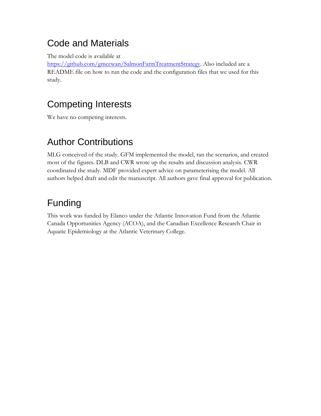## Code and Materials

The model code is available at

[https://github.com/gmcewan/SalmonFarmTreatmentStrategy.](https://github.com/gmcewan/SalmonFarmTreatmentStrategy) Also included are a README file on how to run the code and the configuration files that we used for this study.

# Competing Interests

We have no competing interests.

# Author Contributions

MLG conceived of the study. GFM implemented the model, ran the scenarios, and created most of the figures. DLB and CWR wrote up the results and discussion analysis. CWR coordinated the study. MDF provided expert advice on parameterising the model. All authors helped draft and edit the manuscript. All authors gave final approval for publication.

# Funding

This work was funded by Elanco under the Atlantic Innovation Fund from the Atlantic Canada Opportunities Agency (ACOA), and the Canadian Excellence Research Chair in Aquatic Epidemiology at the Atlantic Veterinary College.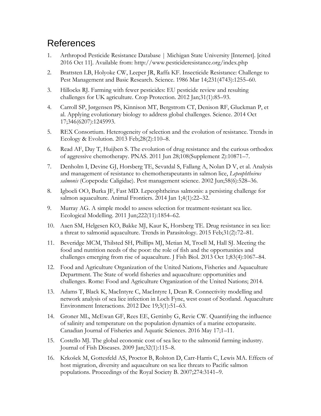## References

- 1. Arthropod Pesticide Resistance Database | Michigan State University [Internet]. [cited 2016 Oct 11]. Available from: http://www.pesticideresistance.org/index.php
- 2. Brattsten LB, Holyoke CW, Leeper JR, Raffa KF. Insecticide Resistance: Challenge to Pest Management and Basic Research. Science. 1986 Mar 14;231(4743):1255–60.
- 3. Hillocks RJ. Farming with fewer pesticides: EU pesticide review and resulting challenges for UK agriculture. Crop Protection. 2012 Jan;31(1):85–93.
- 4. Carroll SP, Jørgensen PS, Kinnison MT, Bergstrom CT, Denison RF, Gluckman P, et al. Applying evolutionary biology to address global challenges. Science. 2014 Oct 17;346(6207):1245993.
- 5. REX Consortium. Heterogeneity of selection and the evolution of resistance. Trends in Ecology & Evolution. 2013 Feb;28(2):110–8.
- 6. Read AF, Day T, Huijben S. The evolution of drug resistance and the curious orthodox of aggressive chemotherapy. PNAS. 2011 Jun 28;108(Supplement 2):10871–7.
- 7. Denholm I, Devine GJ, Horsberg TE, Sevatdal S, Fallang A, Nolan D V, et al. Analysis and management of resistance to chemotherapeutants in salmon lice, *Lepeophtheirus salmonis* (Copepoda: Caligidae). Pest management science. 2002 Jun;58(6):528–36.
- 8. Igboeli OO, Burka JF, Fast MD. Lepeophtheirus salmonis: a persisting challenge for salmon aquaculture. Animal Frontiers. 2014 Jan 1;4(1):22–32.
- 9. Murray AG. A simple model to assess selection for treatment-resistant sea lice. Ecological Modelling. 2011 Jun;222(11):1854–62.
- 10. Aaen SM, Helgesen KO, Bakke MJ, Kaur K, Horsberg TE. Drug resistance in sea lice: a threat to salmonid aquaculture. Trends in Parasitology. 2015 Feb;31(2):72–81.
- 11. Beveridge MCM, Thilsted SH, Phillips MJ, Metian M, Troell M, Hall SJ. Meeting the food and nutrition needs of the poor: the role of fish and the opportunities and challenges emerging from rise of aquaculture. J Fish Biol. 2013 Oct 1;83(4):1067–84.
- 12. Food and Agriculture Organization of the United Nations, Fisheries and Aquaculture Department. The State of world fisheries and aquaculture: opportunities and challenges. Rome: Food and Agriculture Organization of the United Nations; 2014.
- 13. Adams T, Black K, MacIntyre C, MacIntyre I, Dean R. Connectivity modelling and network analysis of sea lice infection in Loch Fyne, west coast of Scotland. Aquaculture Environment Interactions. 2012 Dec 19;3(1):51–63.
- 14. Groner ML, McEwan GF, Rees EE, Gettinby G, Revie CW. Quantifying the influence of salinity and temperature on the population dynamics of a marine ectoparasite. Canadian Journal of Fisheries and Aquatic Sciences. 2016 May 17;1–11.
- 15. Costello MJ. The global economic cost of sea lice to the salmonid farming industry. Journal of Fish Diseases. 2009 Jan;32(1):115–8.
- 16. Krkošek M, Gottesfeld AS, Proctor B, Rolston D, Carr-Harris C, Lewis MA. Effects of host migration, diversity and aquaculture on sea lice threats to Pacific salmon populations. Proceedings of the Royal Society B. 2007;274:3141–9.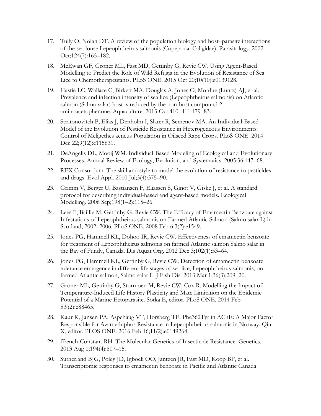- 17. Tully O, Nolan DT. A review of the population biology and host–parasite interactions of the sea louse Lepeophtheirus salmonis (Copepoda: Caligidae). Parasitology. 2002 Oct;124(7):165–182.
- 18. McEwan GF, Groner ML, Fast MD, Gettinby G, Revie CW. Using Agent-Based Modelling to Predict the Role of Wild Refugia in the Evolution of Resistance of Sea Lice to Chemotherapeutants. PLoS ONE. 2015 Oct 20;10(10):e0139128.
- 19. Hastie LC, Wallace C, Birkett MA, Douglas A, Jones O, Mordue (Luntz) AJ, et al. Prevalence and infection intensity of sea lice (Lepeophtheirus salmonis) on Atlantic salmon (Salmo salar) host is reduced by the non-host compound 2 aminoacetophenone. Aquaculture. 2013 Oct;410–411:179–83.
- 20. Stratonovitch P, Elias J, Denholm I, Slater R, Semenov MA. An Individual-Based Model of the Evolution of Pesticide Resistance in Heterogeneous Environments: Control of Meligethes aeneus Population in Oilseed Rape Crops. PLoS ONE. 2014 Dec 22;9(12):e115631.
- 21. DeAngelis DL, Mooij WM. Individual-Based Modeling of Ecological and Evolutionary Processes. Annual Review of Ecology, Evolution, and Systematics. 2005;36:147–68.
- 22. REX Consortium. The skill and style to model the evolution of resistance to pesticides and drugs. Evol Appl. 2010 Jul;3(4):375–90.
- 23. Grimm V, Berger U, Bastiansen F, Eliassen S, Ginot V, Giske J, et al. A standard protocol for describing individual-based and agent-based models. Ecological Modelling. 2006 Sep;198(1–2):115–26.
- 24. Lees F, Baillie M, Gettinby G, Revie CW. The Efficacy of Emamectin Benzoate against Infestations of Lepeophtheirus salmonis on Farmed Atlantic Salmon (Salmo salar L) in Scotland, 2002–2006. PLoS ONE. 2008 Feb 6;3(2):e1549.
- 25. Jones PG, Hammell KL, Dohoo IR, Revie CW. Effectiveness of emamectin benzoate for treatment of Lepeophtheirus salmonis on farmed Atlantic salmon Salmo salar in the Bay of Fundy, Canada. Dis Aquat Org. 2012 Dec 3;102(1):53–64.
- 26. Jones PG, Hammell KL, Gettinby G, Revie CW. Detection of emamectin benzoate tolerance emergence in different life stages of sea lice, Lepeophtheirus salmonis, on farmed Atlantic salmon, Salmo salar L. J Fish Dis. 2013 Mar 1;36(3):209–20.
- 27. Groner ML, Gettinby G, Stormoen M, Revie CW, Cox R. Modelling the Impact of Temperature-Induced Life History Plasticity and Mate Limitation on the Epidemic Potential of a Marine Ectoparasite. Sotka E, editor. PLoS ONE. 2014 Feb 5;9(2):e88465.
- 28. Kaur K, Jansen PA, Aspehaug VT, Horsberg TE. Phe362Tyr in AChE: A Major Factor Responsible for Azamethiphos Resistance in Lepeophtheirus salmonis in Norway. Qiu X, editor. PLOS ONE. 2016 Feb 16;11(2):e0149264.
- 29. ffrench-Constant RH. The Molecular Genetics of Insecticide Resistance. Genetics. 2013 Aug 1;194(4):807–15.
- 30. Sutherland BJG, Poley JD, Igboeli OO, Jantzen JR, Fast MD, Koop BF, et al. Transcriptomic responses to emamectin benzoate in Pacific and Atlantic Canada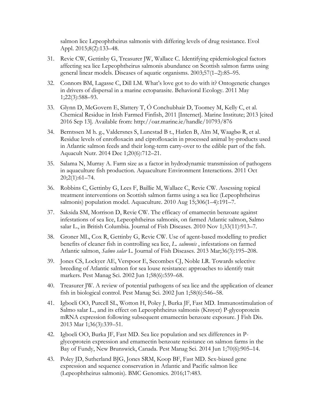salmon lice Lepeophtheirus salmonis with differing levels of drug resistance. Evol Appl. 2015;8(2):133–48.

- 31. Revie CW, Gettinby G, Treasurer JW, Wallace C. Identifying epidemiological factors affecting sea lice Lepeophtheirus salmonis abundance on Scottish salmon farms using general linear models. Diseases of aquatic organisms. 2003;57(1–2):85–95.
- 32. Connors BM, Lagasse C, Dill LM. What's love got to do with it? Ontogenetic changes in drivers of dispersal in a marine ectoparasite. Behavioral Ecology. 2011 May 1;22(3):588–93.
- 33. Glynn D, McGovern E, Slattery T, Ó Conchubhair D, Toomey M, Kelly C, et al. Chemical Residue in Irish Farmed Finfish, 2011 [Internet]. Marine Institute; 2013 [cited 2016 Sep 13]. Available from: http://oar.marine.ie/handle/10793/876
- 34. Berntssen M h. g., Valdersnes S, Lunestad B t., Hatlen B, Alm M, Waagbø R, et al. Residue levels of enrofloxacin and ciprofloxacin in processed animal by-products used in Atlantic salmon feeds and their long-term carry-over to the edible part of the fish. Aquacult Nutr. 2014 Dec 1;20(6):712–21.
- 35. Salama N, Murray A. Farm size as a factor in hydrodynamic transmission of pathogens in aquaculture fish production. Aquaculture Environment Interactions. 2011 Oct 20;2(1):61–74.
- 36. Robbins C, Gettinby G, Lees F, Baillie M, Wallace C, Revie CW. Assessing topical treatment interventions on Scottish salmon farms using a sea lice (Lepeophtheirus salmonis) population model. Aquaculture. 2010 Aug 15;306(1–4):191–7.
- 37. Saksida SM, Morrison D, Revie CW. The efficacy of emamectin benzoate against infestations of sea lice, Lepeophtheirus salmonis, on farmed Atlantic salmon, Salmo salar L., in British Columbia. Journal of Fish Diseases. 2010 Nov 1;33(11):913–7.
- 38. Groner ML, Cox R, Gettinby G, Revie CW. Use of agent-based modelling to predict benefits of cleaner fish in controlling sea lice, *L. salmonis* , infestations on farmed Atlantic salmon, *Salmo salar* L. Journal of Fish Diseases. 2013 Mar;36(3):195–208.
- 39. Jones CS, Lockyer AE, Verspoor E, Secombes CJ, Noble LR. Towards selective breeding of Atlantic salmon for sea louse resistance: approaches to identify trait markers. Pest Manag Sci. 2002 Jun 1;58(6):559–68.
- 40. Treasurer JW. A review of potential pathogens of sea lice and the application of cleaner fish in biological control. Pest Manag Sci. 2002 Jun 1;58(6):546–58.
- 41. Igboeli OO, Purcell SL, Wotton H, Poley J, Burka JF, Fast MD. Immunostimulation of Salmo salar L., and its effect on Lepeophtheirus salmonis (Krøyer) P-glycoprotein mRNA expression following subsequent emamectin benzoate exposure. J Fish Dis. 2013 Mar 1;36(3):339–51.
- 42. Igboeli OO, Burka JF, Fast MD. Sea lice population and sex differences in Pglycoprotein expression and emamectin benzoate resistance on salmon farms in the Bay of Fundy, New Brunswick, Canada. Pest Manag Sci. 2014 Jun 1;70(6):905–14.
- 43. Poley JD, Sutherland BJG, Jones SRM, Koop BF, Fast MD. Sex-biased gene expression and sequence conservation in Atlantic and Pacific salmon lice (Lepeophtheirus salmonis). BMC Genomics. 2016;17:483.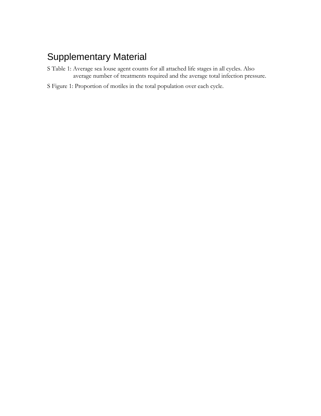## Supplementary Material

- <span id="page-18-0"></span>S Table 1: Average sea louse agent counts for all attached life stages in all cycles. Also average number of treatments required and the average total infection pressure.
- <span id="page-18-1"></span>S Figure 1: Proportion of motiles in the total population over each cycle.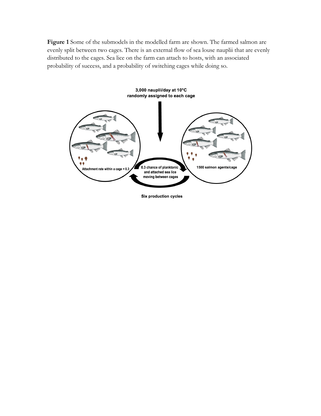**Figure 1** Some of the submodels in the modelled farm are shown. The farmed salmon are evenly split between two cages. There is an external flow of sea louse nauplii that are evenly distributed to the cages. Sea lice on the farm can attach to hosts, with an associated probability of success, and a probability of switching cages while doing so.



Six production cycles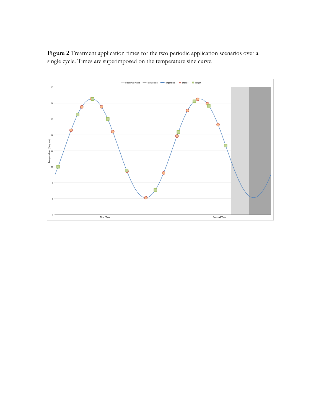**Figure 2** Treatment application times for the two periodic application scenarios over a single cycle. Times are superimposed on the temperature sine curve.

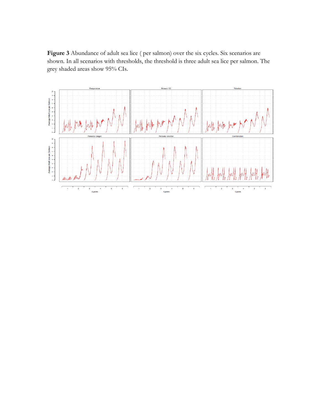Figure 3 Abundance of adult sea lice (per salmon) over the six cycles. Six scenarios are shown. In all scenarios with thresholds, the threshold is three adult sea lice per salmon. The grey shaded areas show 95% CIs.

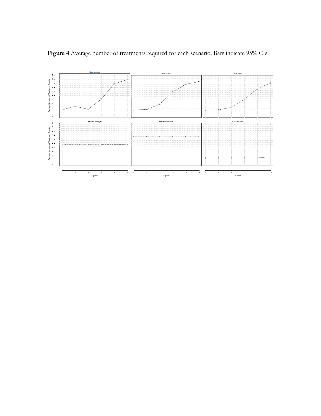

**Figure 4** Average number of treatments required for each scenario. Bars indicate 95% CIs.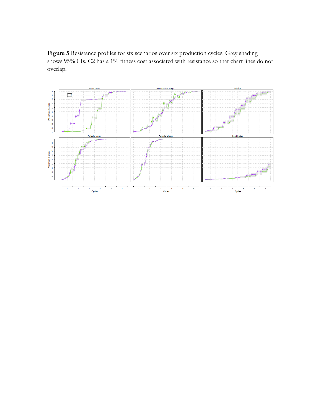**Figure 5** Resistance profiles for six scenarios over six production cycles. Grey shading shows 95% CIs. C2 has a 1% fitness cost associated with resistance so that chart lines do not overlap.